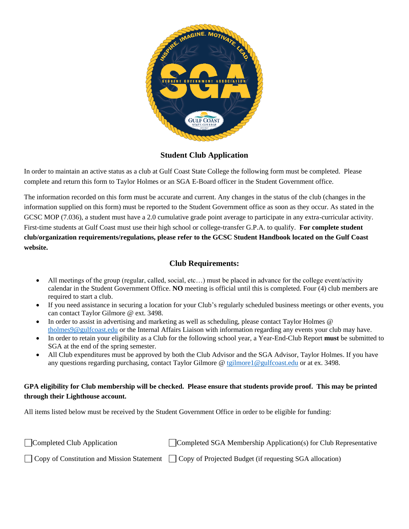

**Student Club Application**

In order to maintain an active status as a club at Gulf Coast State College the following form must be completed. Please complete and return this form to Taylor Holmes or an SGA E-Board officer in the Student Government office.

The information recorded on this form must be accurate and current. Any changes in the status of the club (changes in the information supplied on this form) must be reported to the Student Government office as soon as they occur. As stated in the GCSC MOP (7.036), a student must have a 2.0 cumulative grade point average to participate in any extra-curricular activity. First-time students at Gulf Coast must use their high school or college-transfer G.P.A. to qualify. **For complete student club/organization requirements/regulations, please refer to the GCSC Student Handbook located on the Gulf Coast website.**

### **Club Requirements:**

- All meetings of the group (regular, called, social, etc…) must be placed in advance for the college event/activity calendar in the Student Government Office. **NO** meeting is official until this is completed. Four (4) club members are required to start a club.
- If you need assistance in securing a location for your Club's regularly scheduled business meetings or other events, you can contact Taylor Gilmore @ ext. 3498.
- In order to assist in advertising and marketing as well as scheduling, please contact Taylor Holmes @ [tholmes9@gulfcoast.edu](mailto:tholmes9@gulfcoast.edu) or the Internal Affairs Liaison with information regarding any events your club may have.
- In order to retain your eligibility as a Club for the following school year, a Year-End-Club Report **must** be submitted to SGA at the end of the spring semester.
- All Club expenditures must be approved by both the Club Advisor and the SGA Advisor, Taylor Holmes. If you have any questions regarding purchasing, contact Taylor Gilmore @ [tgilmore1@gulfcoast.edu](mailto:tgilmore1@gulfcoast.edu) or at ex. 3498.

#### **GPA eligibility for Club membership will be checked. Please ensure that students provide proof. This may be printed through their Lighthouse account.**

All items listed below must be received by the Student Government Office in order to be eligible for funding:

| $\Box$ Completed Club Application | $\Box$ Completed SGA Membership Application(s) for Club Representative                                           |
|-----------------------------------|------------------------------------------------------------------------------------------------------------------|
|                                   | $\Box$ Copy of Constitution and Mission Statement $\Box$ Copy of Projected Budget (if requesting SGA allocation) |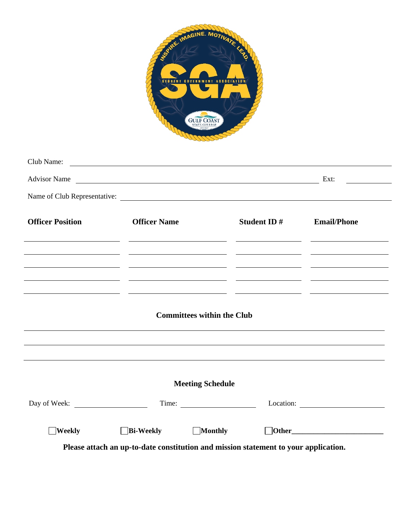

| Club Name:              | <u> 1990 - John Harry Harry Harry Harry Harry Harry Harry Harry Harry Harry Harry Harry Harry Harry Harry Harry H</u>                                                                                                 |                                                                                           |                                             |
|-------------------------|-----------------------------------------------------------------------------------------------------------------------------------------------------------------------------------------------------------------------|-------------------------------------------------------------------------------------------|---------------------------------------------|
|                         | Advisor Name Ext:                                                                                                                                                                                                     |                                                                                           | <u> 1999 - Jan Jawa Barat, profesora po</u> |
|                         | Name of Club Representative:                                                                                                                                                                                          |                                                                                           |                                             |
| <b>Officer Position</b> | <b>Officer Name</b>                                                                                                                                                                                                   | <b>Student ID # Email/Phone</b>                                                           |                                             |
|                         | <u> 2000 - Andrea Andrew Maria (h. 1982).</u> Andrew Maria (h. 1982). Andrew Maria (h. 1982).<br><u> 1999 - Jacques Maria (h. 1989).</u><br>2001 - John Barnett, fransk konger (h. 1905).                             |                                                                                           |                                             |
|                         | <u> 1990 - Jacques Alexandro (h. 1980).</u><br>1900 - Johann Barn, fransk politik (d. 1900).<br><b>Committees within the Club</b><br>,我们也不能会有一个人的事情。""我们不能会有一个人的事情。""我们不能会有一个人的事情。""我们不能会有一个人的事情。""我们不能会有一个人的事情。""我们不 |                                                                                           |                                             |
|                         | <u> 1989 - Andrea Santa Andrea Andrea Santa Andrea Andrea Andrea Andrea Andrea Andrea Andrea Andrea Andrea Andre</u>                                                                                                  |                                                                                           |                                             |
|                         | <b>Meeting Schedule</b>                                                                                                                                                                                               |                                                                                           |                                             |
|                         |                                                                                                                                                                                                                       | Time:                                                                                     |                                             |
| $\Box$ Weekly           | $\Box$ Bi-Weekly                                                                                                                                                                                                      | <b>Monthly</b>                                                                            | $\Box$ Other                                |
|                         |                                                                                                                                                                                                                       | <b>Dlease attach on up to date constitution and mission statement to vour application</b> |                                             |

**Please attach an up-to-date constitution and mission statement to your application.**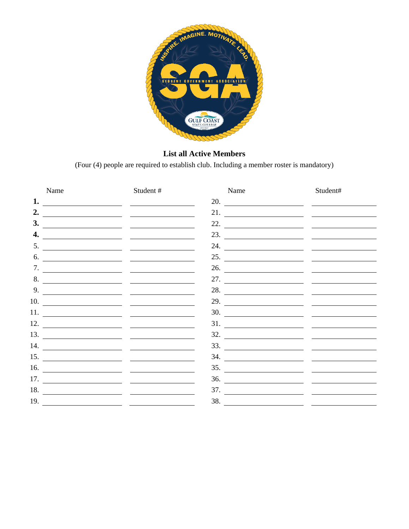

## **List all Active Members**

(Four (4) people are required to establish club. Including a member roster is mandatory)

| Name               | Student#                        | Name                    | Student#                           |
|--------------------|---------------------------------|-------------------------|------------------------------------|
| 1. $\qquad \qquad$ |                                 | 20.                     | the property of the control of the |
|                    | 2. $\qquad \qquad$              |                         | 21. $\qquad \qquad$                |
| 3.                 |                                 | 22. $\qquad \qquad$     |                                    |
| 4.                 |                                 |                         |                                    |
| 5.                 |                                 |                         | 24. $\qquad \qquad$                |
| 6.                 |                                 |                         | 25. $\qquad \qquad$                |
|                    | 7. $\qquad \qquad$              |                         | 26. $\qquad \qquad$                |
| 8.                 | <u> Alexandria (Alexandria)</u> |                         | 27. $\qquad \qquad$                |
|                    |                                 | 28. $\qquad \qquad$     |                                    |
|                    | $10.$ $\qquad \qquad$           |                         | 29.                                |
|                    |                                 |                         | 30.                                |
|                    |                                 |                         | 31. $\qquad \qquad$                |
|                    |                                 |                         | $\frac{32.}{\sqrt{25}}$            |
|                    |                                 |                         | $\frac{33.1}{\sqrt{25}}$           |
|                    |                                 |                         | $\frac{34.1}{\sqrt{25}}$           |
| 16.                |                                 |                         | $\frac{35.}{\sqrt{25}}$            |
|                    |                                 | 36.                     |                                    |
| 18.                |                                 | $\frac{37.}{\sqrt{25}}$ |                                    |
| 19.                |                                 | 38.                     |                                    |
|                    |                                 |                         |                                    |